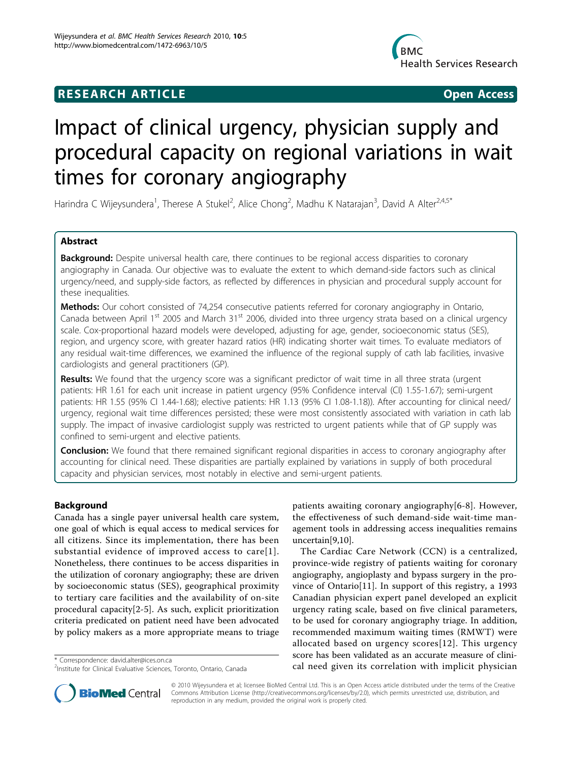# **RESEARCH ARTICLE Example 2018 12:00 Department of the Contract Open Access**



# Impact of clinical urgency, physician supply and procedural capacity on regional variations in wait times for coronary angiography

Harindra C Wijeysundera<sup>1</sup>, Therese A Stukel<sup>2</sup>, Alice Chong<sup>2</sup>, Madhu K Natarajan<sup>3</sup>, David A Alter<sup>2,4,5\*</sup>

# Abstract

Background: Despite universal health care, there continues to be regional access disparities to coronary angiography in Canada. Our objective was to evaluate the extent to which demand-side factors such as clinical urgency/need, and supply-side factors, as reflected by differences in physician and procedural supply account for these inequalities.

Methods: Our cohort consisted of 74,254 consecutive patients referred for coronary angiography in Ontario, Canada between April 1<sup>st</sup> 2005 and March 31<sup>st</sup> 2006, divided into three urgency strata based on a clinical urgency scale. Cox-proportional hazard models were developed, adjusting for age, gender, socioeconomic status (SES), region, and urgency score, with greater hazard ratios (HR) indicating shorter wait times. To evaluate mediators of any residual wait-time differences, we examined the influence of the regional supply of cath lab facilities, invasive cardiologists and general practitioners (GP).

Results: We found that the urgency score was a significant predictor of wait time in all three strata (urgent patients: HR 1.61 for each unit increase in patient urgency (95% Confidence interval (CI) 1.55-1.67); semi-urgent patients: HR 1.55 (95% CI 1.44-1.68); elective patients: HR 1.13 (95% CI 1.08-1.18)). After accounting for clinical need/ urgency, regional wait time differences persisted; these were most consistently associated with variation in cath lab supply. The impact of invasive cardiologist supply was restricted to urgent patients while that of GP supply was confined to semi-urgent and elective patients.

**Conclusion:** We found that there remained significant regional disparities in access to coronary angiography after accounting for clinical need. These disparities are partially explained by variations in supply of both procedural capacity and physician services, most notably in elective and semi-urgent patients.

# Background

Canada has a single payer universal health care system, one goal of which is equal access to medical services for all citizens. Since its implementation, there has been substantial evidence of improved access to care[[1\]](#page-7-0). Nonetheless, there continues to be access disparities in the utilization of coronary angiography; these are driven by socioeconomic status (SES), geographical proximity to tertiary care facilities and the availability of on-site procedural capacity[\[2](#page-7-0)-[5\]](#page-7-0). As such, explicit prioritization criteria predicated on patient need have been advocated by policy makers as a more appropriate means to triage

patients awaiting coronary angiography[[6](#page-7-0)-[8\]](#page-7-0). However, the effectiveness of such demand-side wait-time management tools in addressing access inequalities remains uncertain[\[9,10](#page-8-0)].

The Cardiac Care Network (CCN) is a centralized, province-wide registry of patients waiting for coronary angiography, angioplasty and bypass surgery in the province of Ontario[\[11](#page-8-0)]. In support of this registry, a 1993 Canadian physician expert panel developed an explicit urgency rating scale, based on five clinical parameters, to be used for coronary angiography triage. In addition, recommended maximum waiting times (RMWT) were allocated based on urgency scores[[12](#page-8-0)]. This urgency score has been validated as an accurate measure of clini\* Correspondence: [david.alter@ices.on.ca](mailto:david.alter@ices.on.ca)<br>
<sup>2</sup>Institute for Clinical Evaluative Sciences Toronto Ontario Canada **and Call need given its correlation with implicit physician** 



© 2010 Wijeysundera et al; licensee BioMed Central Ltd. This is an Open Access article distributed under the terms of the Creative Commons Attribution License [\(http://creativecommons.org/licenses/by/2.0](http://creativecommons.org/licenses/by/2.0)), which permits unrestricted use, distribution, and reproduction in any medium, provided the original work is properly cited.

<sup>&</sup>lt;sup>2</sup>Institute for Clinical Evaluative Sciences, Toronto, Ontario, Canada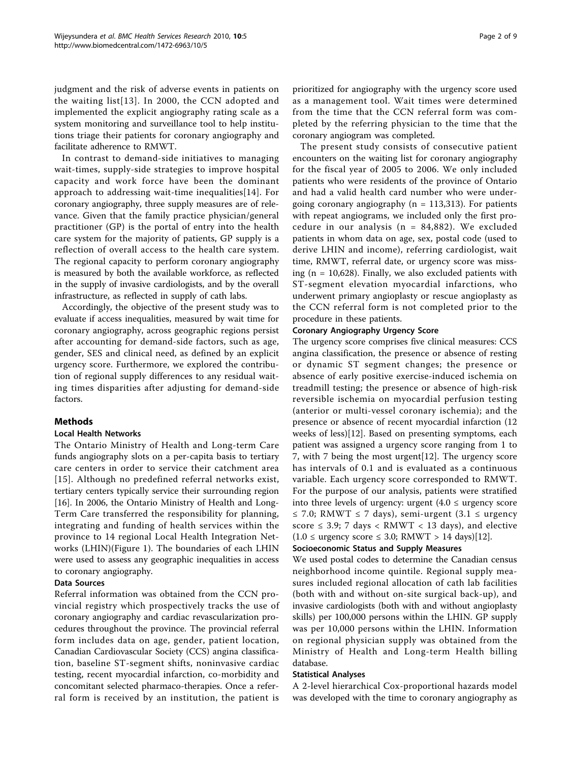judgment and the risk of adverse events in patients on the waiting list[[13\]](#page-8-0). In 2000, the CCN adopted and implemented the explicit angiography rating scale as a system monitoring and surveillance tool to help institutions triage their patients for coronary angiography and facilitate adherence to RMWT.

In contrast to demand-side initiatives to managing wait-times, supply-side strategies to improve hospital capacity and work force have been the dominant approach to addressing wait-time inequalities[[14\]](#page-8-0). For coronary angiography, three supply measures are of relevance. Given that the family practice physician/general practitioner (GP) is the portal of entry into the health care system for the majority of patients, GP supply is a reflection of overall access to the health care system. The regional capacity to perform coronary angiography is measured by both the available workforce, as reflected in the supply of invasive cardiologists, and by the overall infrastructure, as reflected in supply of cath labs.

Accordingly, the objective of the present study was to evaluate if access inequalities, measured by wait time for coronary angiography, across geographic regions persist after accounting for demand-side factors, such as age, gender, SES and clinical need, as defined by an explicit urgency score. Furthermore, we explored the contribution of regional supply differences to any residual waiting times disparities after adjusting for demand-side factors.

# **Methods**

# Local Health Networks

The Ontario Ministry of Health and Long-term Care funds angiography slots on a per-capita basis to tertiary care centers in order to service their catchment area [[15\]](#page-8-0). Although no predefined referral networks exist, tertiary centers typically service their surrounding region [[16\]](#page-8-0). In 2006, the Ontario Ministry of Health and Long-Term Care transferred the responsibility for planning, integrating and funding of health services within the province to 14 regional Local Health Integration Networks (LHIN)(Figure [1\)](#page-2-0). The boundaries of each LHIN were used to assess any geographic inequalities in access to coronary angiography.

# Data Sources

Referral information was obtained from the CCN provincial registry which prospectively tracks the use of coronary angiography and cardiac revascularization procedures throughout the province. The provincial referral form includes data on age, gender, patient location, Canadian Cardiovascular Society (CCS) angina classification, baseline ST-segment shifts, noninvasive cardiac testing, recent myocardial infarction, co-morbidity and concomitant selected pharmaco-therapies. Once a referral form is received by an institution, the patient is

Page 2 of 9

prioritized for angiography with the urgency score used as a management tool. Wait times were determined from the time that the CCN referral form was completed by the referring physician to the time that the coronary angiogram was completed.

The present study consists of consecutive patient encounters on the waiting list for coronary angiography for the fiscal year of 2005 to 2006. We only included patients who were residents of the province of Ontario and had a valid health card number who were undergoing coronary angiography ( $n = 113,313$ ). For patients with repeat angiograms, we included only the first procedure in our analysis ( $n = 84,882$ ). We excluded patients in whom data on age, sex, postal code (used to derive LHIN and income), referring cardiologist, wait time, RMWT, referral date, or urgency score was missing  $(n = 10,628)$ . Finally, we also excluded patients with ST-segment elevation myocardial infarctions, who underwent primary angioplasty or rescue angioplasty as the CCN referral form is not completed prior to the procedure in these patients.

# Coronary Angiography Urgency Score

The urgency score comprises five clinical measures: CCS angina classification, the presence or absence of resting or dynamic ST segment changes; the presence or absence of early positive exercise-induced ischemia on treadmill testing; the presence or absence of high-risk reversible ischemia on myocardial perfusion testing (anterior or multi-vessel coronary ischemia); and the presence or absence of recent myocardial infarction (12 weeks of less)[\[12](#page-8-0)]. Based on presenting symptoms, each patient was assigned a urgency score ranging from 1 to 7, with 7 being the most urgent[[12](#page-8-0)]. The urgency score has intervals of 0.1 and is evaluated as a continuous variable. Each urgency score corresponded to RMWT. For the purpose of our analysis, patients were stratified into three levels of urgency: urgent  $(4.0 \leq$  urgency score ≤ 7.0; RMWT ≤ 7 days), semi-urgent (3.1 ≤ urgency score  $\leq$  3.9; 7 days  $\lt$  RMWT  $\lt$  13 days), and elective  $(1.0 \leq$  urgency score  $\leq$  3.0; RMWT > 14 days)[[12\]](#page-8-0).

# Socioeconomic Status and Supply Measures

We used postal codes to determine the Canadian census neighborhood income quintile. Regional supply measures included regional allocation of cath lab facilities (both with and without on-site surgical back-up), and invasive cardiologists (both with and without angioplasty skills) per 100,000 persons within the LHIN. GP supply was per 10,000 persons within the LHIN. Information on regional physician supply was obtained from the Ministry of Health and Long-term Health billing database.

# Statistical Analyses

A 2-level hierarchical Cox-proportional hazards model was developed with the time to coronary angiography as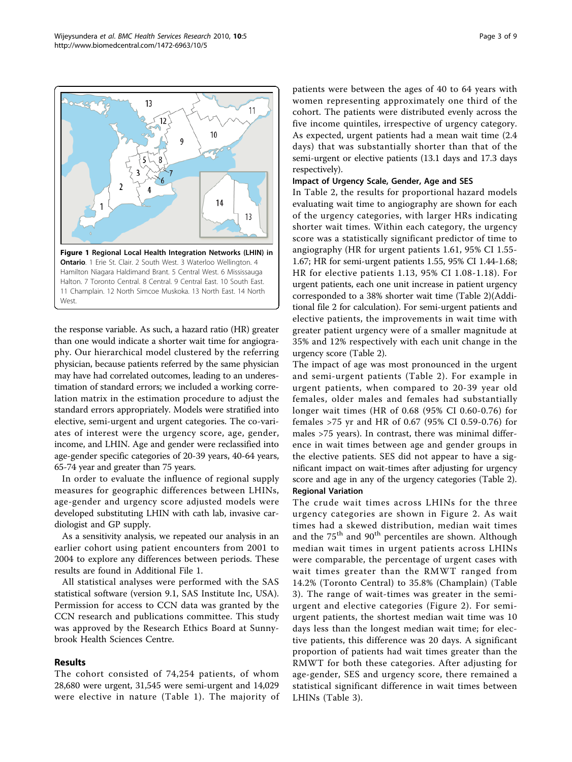<span id="page-2-0"></span>

the response variable. As such, a hazard ratio (HR) greater than one would indicate a shorter wait time for angiography. Our hierarchical model clustered by the referring physician, because patients referred by the same physician may have had correlated outcomes, leading to an underestimation of standard errors; we included a working correlation matrix in the estimation procedure to adjust the standard errors appropriately. Models were stratified into elective, semi-urgent and urgent categories. The co-variates of interest were the urgency score, age, gender, income, and LHIN. Age and gender were reclassified into age-gender specific categories of 20-39 years, 40-64 years, 65-74 year and greater than 75 years.

In order to evaluate the influence of regional supply measures for geographic differences between LHINs, age-gender and urgency score adjusted models were developed substituting LHIN with cath lab, invasive cardiologist and GP supply.

As a sensitivity analysis, we repeated our analysis in an earlier cohort using patient encounters from 2001 to 2004 to explore any differences between periods. These results are found in Additional File [1](#page-7-0).

All statistical analyses were performed with the SAS statistical software (version 9.1, SAS Institute Inc, USA). Permission for access to CCN data was granted by the CCN research and publications committee. This study was approved by the Research Ethics Board at Sunnybrook Health Sciences Centre.

# Results

The cohort consisted of 74,254 patients, of whom 28,680 were urgent, 31,545 were semi-urgent and 14,029 were elective in nature (Table [1\)](#page-3-0). The majority of patients were between the ages of 40 to 64 years with women representing approximately one third of the cohort. The patients were distributed evenly across the five income quintiles, irrespective of urgency category. As expected, urgent patients had a mean wait time (2.4 days) that was substantially shorter than that of the semi-urgent or elective patients (13.1 days and 17.3 days respectively).

#### Impact of Urgency Scale, Gender, Age and SES

In Table [2,](#page-3-0) the results for proportional hazard models evaluating wait time to angiography are shown for each of the urgency categories, with larger HRs indicating shorter wait times. Within each category, the urgency score was a statistically significant predictor of time to angiography (HR for urgent patients 1.61, 95% CI 1.55- 1.67; HR for semi-urgent patients 1.55, 95% CI 1.44-1.68; HR for elective patients 1.13, 95% CI 1.08-1.18). For urgent patients, each one unit increase in patient urgency corresponded to a 38% shorter wait time (Table [2\)](#page-3-0)(Additional file [2](#page-7-0) for calculation). For semi-urgent patients and elective patients, the improvements in wait time with greater patient urgency were of a smaller magnitude at 35% and 12% respectively with each unit change in the urgency score (Table [2\)](#page-3-0).

The impact of age was most pronounced in the urgent and semi-urgent patients (Table [2](#page-3-0)). For example in urgent patients, when compared to 20-39 year old females, older males and females had substantially longer wait times (HR of 0.68 (95% CI 0.60-0.76) for females >75 yr and HR of 0.67 (95% CI 0.59-0.76) for males >75 years). In contrast, there was minimal difference in wait times between age and gender groups in the elective patients. SES did not appear to have a significant impact on wait-times after adjusting for urgency score and age in any of the urgency categories (Table [2](#page-3-0)). Regional Variation

The crude wait times across LHINs for the three urgency categories are shown in Figure [2.](#page-5-0) As wait times had a skewed distribution, median wait times and the  $75<sup>th</sup>$  and  $90<sup>th</sup>$  percentiles are shown. Although median wait times in urgent patients across LHINs were comparable, the percentage of urgent cases with wait times greater than the RMWT ranged from 14.2% (Toronto Central) to 35.8% (Champlain) (Table [3\)](#page-4-0). The range of wait-times was greater in the semiurgent and elective categories (Figure [2](#page-5-0)). For semiurgent patients, the shortest median wait time was 10 days less than the longest median wait time; for elective patients, this difference was 20 days. A significant proportion of patients had wait times greater than the RMWT for both these categories. After adjusting for age-gender, SES and urgency score, there remained a statistical significant difference in wait times between LHINs (Table [3](#page-4-0)).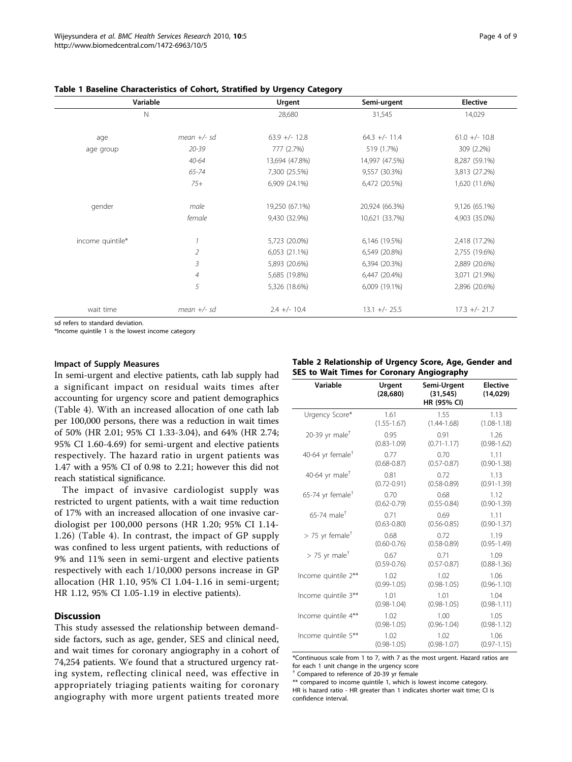| Variable<br>$\mathbb N$ |                | Urgent          | Semi-urgent     | <b>Elective</b><br>14,029 |  |
|-------------------------|----------------|-----------------|-----------------|---------------------------|--|
|                         |                | 28,680          | 31,545          |                           |  |
| age                     | $mean +/- sd$  | $63.9 +/- 12.8$ | $64.3 +/- 11.4$ | $61.0 +/- 10.8$           |  |
| age group               | $20 - 39$      | 777 (2.7%)      | 519 (1.7%)      | 309 (2.2%)                |  |
|                         | $40 - 64$      | 13,694 (47.8%)  | 14,997 (47.5%)  | 8,287 (59.1%)             |  |
|                         | $65 - 74$      | 7,300 (25.5%)   | 9,557 (30.3%)   | 3,813 (27.2%)             |  |
|                         | $75+$          | 6,909 (24.1%)   | 6,472 (20.5%)   | 1,620 (11.6%)             |  |
| gender                  | male           | 19,250 (67.1%)  | 20,924 (66.3%)  | 9,126 (65.1%)             |  |
|                         | female         | 9,430 (32.9%)   | 10,621 (33.7%)  | 4,903 (35.0%)             |  |
| income quintile*        |                | 5,723 (20.0%)   | 6,146 (19.5%)   | 2,418 (17.2%)             |  |
|                         | 2              | 6,053 (21.1%)   | 6,549 (20.8%)   | 2,755 (19.6%)             |  |
|                         | $\overline{3}$ | 5,893 (20.6%)   | 6,394 (20.3%)   | 2,889 (20.6%)             |  |
|                         | 4              | 5,685 (19.8%)   | 6,447 (20.4%)   | 3,071 (21.9%)             |  |
|                         | 5              | 5,326 (18.6%)   | 6,009 (19.1%)   | 2,896 (20.6%)             |  |
| wait time               | $mean +/- sd$  | $2.4 +/- 10.4$  | $13.1 +/- 25.5$ | $17.3 +/- 21.7$           |  |

<span id="page-3-0"></span>Table 1 Baseline Characteristics of Cohort, Stratified by Urgency Category

sd refers to standard deviation.

\*Income quintile 1 is the lowest income category

#### Impact of Supply Measures

In semi-urgent and elective patients, cath lab supply had a significant impact on residual waits times after accounting for urgency score and patient demographics (Table [4](#page-6-0)). With an increased allocation of one cath lab per 100,000 persons, there was a reduction in wait times of 50% (HR 2.01; 95% CI 1.33-3.04), and 64% (HR 2.74; 95% CI 1.60-4.69) for semi-urgent and elective patients respectively. The hazard ratio in urgent patients was 1.47 with a 95% CI of 0.98 to 2.21; however this did not reach statistical significance.

The impact of invasive cardiologist supply was restricted to urgent patients, with a wait time reduction of 17% with an increased allocation of one invasive cardiologist per 100,000 persons (HR 1.20; 95% CI 1.14- 1.26) (Table [4\)](#page-6-0). In contrast, the impact of GP supply was confined to less urgent patients, with reductions of 9% and 11% seen in semi-urgent and elective patients respectively with each 1/10,000 persons increase in GP allocation (HR 1.10, 95% CI 1.04-1.16 in semi-urgent; HR 1.12, 95% CI 1.05-1.19 in elective patients).

# Discussion

This study assessed the relationship between demandside factors, such as age, gender, SES and clinical need, and wait times for coronary angiography in a cohort of 74,254 patients. We found that a structured urgency rating system, reflecting clinical need, was effective in appropriately triaging patients waiting for coronary angiography with more urgent patients treated more

|  |                                                   | Table 2 Relationship of Urgency Score, Age, Gender and |  |
|--|---------------------------------------------------|--------------------------------------------------------|--|
|  | <b>SES to Wait Times for Coronary Angiography</b> |                                                        |  |

| Variable                      | Urgent<br>(28, 680) | Semi-Urgent<br>(31.545)<br><b>HR (95% CI)</b> | <b>Elective</b><br>(14, 029) |
|-------------------------------|---------------------|-----------------------------------------------|------------------------------|
| Urgency Score*                | 1.61                | 1.55                                          | 1.13                         |
|                               | $(1.55 - 1.67)$     | $(1.44 - 1.68)$                               | $(1.08 - 1.18)$              |
| 20-39 yr male <sup>+</sup>    | 0.95                | 0.91                                          | 1.26                         |
|                               | $(0.83 - 1.09)$     | $(0.71 - 1.17)$                               | $(0.98 - 1.62)$              |
| 40-64 yr female <sup>+</sup>  | 0.77                | 0.70                                          | 1.11                         |
|                               | $(0.68 - 0.87)$     | $(0.57 - 0.87)$                               | $(0.90 - 1.38)$              |
| 40-64 yr male <sup>+</sup>    | 0.81                | 0.72                                          | 1.13                         |
|                               | $(0.72 - 0.91)$     | $(0.58 - 0.89)$                               | $(0.91 - 1.39)$              |
| 65-74 yr female <sup>+</sup>  | 0.70                | 0.68                                          | 1.12                         |
|                               | $(0.62 - 0.79)$     | $(0.55 - 0.84)$                               | $(0.90 - 1.39)$              |
| $65-74$ male <sup>t</sup>     | 0.71                | 0.69                                          | 1.11                         |
|                               | $(0.63 - 0.80)$     | $(0.56 - 0.85)$                               | $(0.90 - 1.37)$              |
| $>$ 75 yr female <sup>+</sup> | 0.68                | 0.72                                          | 1.19                         |
|                               | $(0.60 - 0.76)$     | $(0.58 - 0.89)$                               | $(0.95 - 1.49)$              |
| $>$ 75 yr male <sup>+</sup>   | 0.67                | 0.71                                          | 1.09                         |
|                               | $(0.59 - 0.76)$     | $(0.57 - 0.87)$                               | $(0.88 - 1.36)$              |
| Income quintile 2**           | 1.02                | 1.02                                          | 1.06                         |
|                               | $(0.99 - 1.05)$     | $(0.98 - 1.05)$                               | $(0.96 - 1.10)$              |
| Income quintile 3**           | 1.01                | 1.01                                          | 1.04                         |
|                               | $(0.98 - 1.04)$     | $(0.98 - 1.05)$                               | $(0.98 - 1.11)$              |
| Income quintile 4**           | 1.02                | 1.00                                          | 1.05                         |
|                               | $(0.98 - 1.05)$     | $(0.96 - 1.04)$                               | $(0.98 - 1.12)$              |
| Income quintile 5**           | 1.02                | 1.02                                          | 1.06                         |
|                               | $(0.98 - 1.05)$     | $(0.98 - 1.07)$                               | $(0.97 - 1.15)$              |

\*Continuous scale from 1 to 7, with 7 as the most urgent. Hazard ratios are for each 1 unit change in the urgency score

† Compared to reference of 20-39 yr female

\*\* compared to income quintile 1, which is lowest income category. HR is hazard ratio - HR greater than 1 indicates shorter wait time; CI is confidence interval.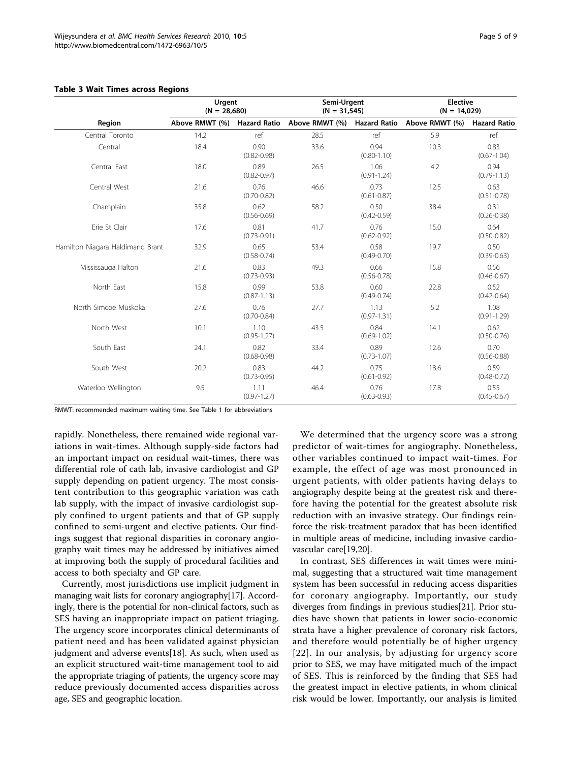<span id="page-4-0"></span>

|                                  | <b>Urgent</b><br>$(N = 28,680)$ |                         | Semi-Urgent<br>$(N = 31,545)$ |                         | <b>Elective</b><br>$(N = 14,029)$ |                         |
|----------------------------------|---------------------------------|-------------------------|-------------------------------|-------------------------|-----------------------------------|-------------------------|
| Region                           | Above RMWT (%)                  | <b>Hazard Ratio</b>     | Above RMWT (%)                | <b>Hazard Ratio</b>     | Above RMWT (%)                    | <b>Hazard Ratic</b>     |
| Central Toronto                  | 14.2                            | ref                     | 28.5                          | ref                     | 5.9                               | ref                     |
| Central                          | 18.4                            | 0.90<br>$(0.82 - 0.98)$ | 33.6                          | 0.94<br>$(0.80 - 1.10)$ | 10.3                              | 0.83<br>$(0.67 - 1.04)$ |
| Central East                     | 18.0                            | 0.89<br>$(0.82 - 0.97)$ | 26.5                          | 1.06<br>$(0.91 - 1.24)$ | 4.2                               | 0.94<br>$(0.79 - 1.13)$ |
| Central West                     | 21.6                            | 0.76<br>$(0.70 - 0.82)$ | 46.6                          | 0.73<br>$(0.61 - 0.87)$ | 12.5                              | 0.63<br>$(0.51 - 0.78)$ |
| Champlain                        | 35.8                            | 0.62<br>$(0.56 - 0.69)$ | 58.2                          | 0.50<br>$(0.42 - 0.59)$ | 38.4                              | 0.31<br>$(0.26 - 0.38)$ |
| Erie St Clair                    | 17.6                            | 0.81<br>$(0.73 - 0.91)$ | 41.7                          | 0.76<br>$(0.62 - 0.92)$ | 15.0                              | 0.64<br>$(0.50 - 0.82)$ |
| Hamilton Niagara Haldimand Brant | 32.9                            | 0.65<br>$(0.58 - 0.74)$ | 53.4                          | 0.58<br>$(0.49 - 0.70)$ | 19.7                              | 0.50<br>$(0.39 - 0.63)$ |
| Mississauga Halton               | 21.6                            | 0.83<br>$(0.73 - 0.93)$ | 49.3                          | 0.66<br>$(0.56 - 0.78)$ | 15.8                              | 0.56<br>$(0.46 - 0.67)$ |
| North East                       | 15.8                            | 0.99<br>$(0.87 - 1.13)$ | 53.8                          | 0.60<br>$(0.49 - 0.74)$ | 22.8                              | 0.52<br>$(0.42 - 0.64)$ |
| North Simcoe Muskoka             | 27.6                            | 0.76                    | 27.7                          | 1.13                    | 5.2                               | 1.08                    |

(0.70-0.84)

(0.95-1.27)

(0.68-0.98)

(0.73-0.95)

(0.97-1.27)

RMWT: recommended maximum waiting time. See Table 1 for abbreviations

Waterloo Wellington 50.5 1.11

North West 10.1 1.10

South East 24.1 0.82

South West 20.2 0.83

rapidly. Nonetheless, there remained wide regional variations in wait-times. Although supply-side factors had an important impact on residual wait-times, there was differential role of cath lab, invasive cardiologist and GP supply depending on patient urgency. The most consistent contribution to this geographic variation was cath lab supply, with the impact of invasive cardiologist supply confined to urgent patients and that of GP supply confined to semi-urgent and elective patients. Our findings suggest that regional disparities in coronary angiography wait times may be addressed by initiatives aimed at improving both the supply of procedural facilities and access to both specialty and GP care.

Currently, most jurisdictions use implicit judgment in managing wait lists for coronary angiography[\[17\]](#page-8-0). Accordingly, there is the potential for non-clinical factors, such as SES having an inappropriate impact on patient triaging. The urgency score incorporates clinical determinants of patient need and has been validated against physician judgment and adverse events[\[18](#page-8-0)]. As such, when used as an explicit structured wait-time management tool to aid the appropriate triaging of patients, the urgency score may reduce previously documented access disparities across age, SES and geographic location.

We determined that the urgency score was a strong predictor of wait-times for angiography. Nonetheless, other variables continued to impact wait-times. For example, the effect of age was most pronounced in urgent patients, with older patients having delays to angiography despite being at the greatest risk and therefore having the potential for the greatest absolute risk reduction with an invasive strategy. Our findings reinforce the risk-treatment paradox that has been identified in multiple areas of medicine, including invasive cardiovascular care[[19](#page-8-0),[20](#page-8-0)].

(0.97-1.31)

(0.69-1.02)

(0.73-1.07)

(0.61-0.92)

(0.63-0.93)

43.5 0.84

33.4 0.89

44.2 0.75

46.4 0.76

In contrast, SES differences in wait times were minimal, suggesting that a structured wait time management system has been successful in reducing access disparities for coronary angiography. Importantly, our study diverges from findings in previous studies[[21](#page-8-0)]. Prior studies have shown that patients in lower socio-economic strata have a higher prevalence of coronary risk factors, and therefore would potentially be of higher urgency [[22\]](#page-8-0). In our analysis, by adjusting for urgency score prior to SES, we may have mitigated much of the impact of SES. This is reinforced by the finding that SES had the greatest impact in elective patients, in whom clinical risk would be lower. Importantly, our analysis is limited

(0.91-1.29)

(0.50-0.76)

(0.56-0.88)

(0.48-0.72)

(0.45-0.67)

14.1 0.62

12.6 0.70

18.6 0.59

17.8 0.55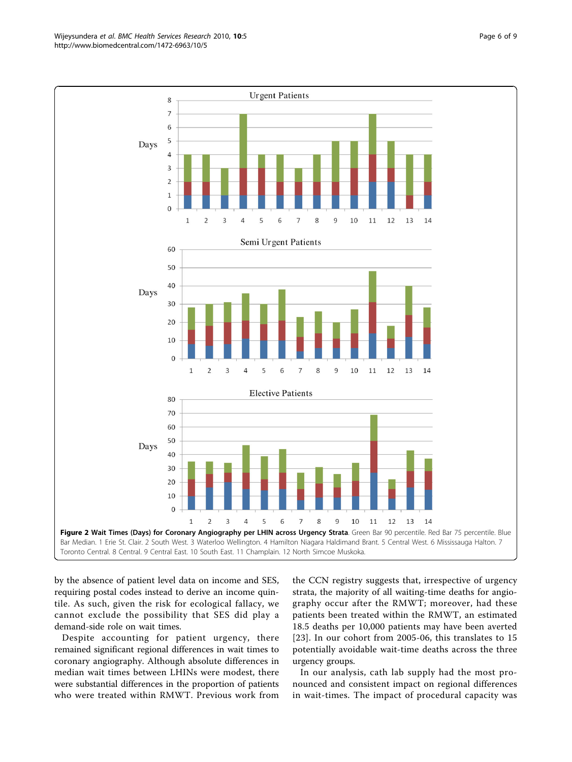by the absence of patient level data on income and SES, requiring postal codes instead to derive an income quintile. As such, given the risk for ecological fallacy, we cannot exclude the possibility that SES did play a demand-side role on wait times.

Despite accounting for patient urgency, there remained significant regional differences in wait times to coronary angiography. Although absolute differences in median wait times between LHINs were modest, there were substantial differences in the proportion of patients who were treated within RMWT. Previous work from

the CCN registry suggests that, irrespective of urgency strata, the majority of all waiting-time deaths for angiography occur after the RMWT; moreover, had these patients been treated within the RMWT, an estimated 18.5 deaths per 10,000 patients may have been averted [[23](#page-8-0)]. In our cohort from 2005-06, this translates to 15 potentially avoidable wait-time deaths across the three urgency groups.

In our analysis, cath lab supply had the most pronounced and consistent impact on regional differences in wait-times. The impact of procedural capacity was

<span id="page-5-0"></span>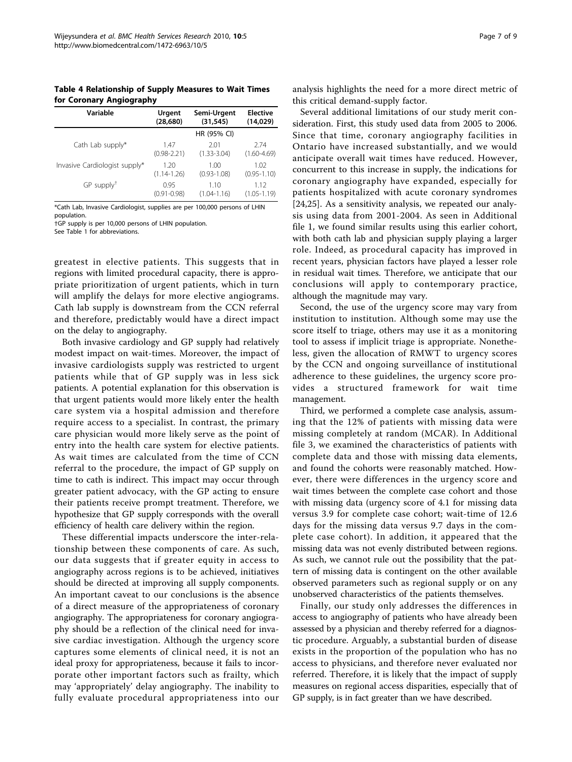<span id="page-6-0"></span>Table 4 Relationship of Supply Measures to Wait Times for Coronary Angiography

| Variable                      | Urgent          | Semi-Urgent     | <b>Elective</b> |
|-------------------------------|-----------------|-----------------|-----------------|
|                               | (28, 680)       | (31, 545)       | (14,029)        |
|                               |                 | HR (95% CI)     |                 |
| Cath Lab supply*              | 147             | 2.01            | 274             |
|                               | $(0.98 - 2.21)$ | $(1.33 - 3.04)$ | $(1.60 - 4.69)$ |
| Invasive Cardiologist supply* | 1.20            | 1.00            | 1.02            |
|                               | $(1.14 - 1.26)$ | $(0.93 - 1.08)$ | $(0.95 - 1.10)$ |
| $GP$ supply <sup>†</sup>      | 0.95            | 1.10            | 1.12            |
|                               | $(0.91 - 0.98)$ | $(1.04 - 1.16)$ | $(1.05 - 1.19)$ |

\*Cath Lab, Invasive Cardiologist, supplies are per 100,000 persons of LHIN population.

†GP supply is per 10,000 persons of LHIN population.

See Table 1 for abbreviations.

greatest in elective patients. This suggests that in regions with limited procedural capacity, there is appropriate prioritization of urgent patients, which in turn will amplify the delays for more elective angiograms. Cath lab supply is downstream from the CCN referral and therefore, predictably would have a direct impact on the delay to angiography.

Both invasive cardiology and GP supply had relatively modest impact on wait-times. Moreover, the impact of invasive cardiologists supply was restricted to urgent patients while that of GP supply was in less sick patients. A potential explanation for this observation is that urgent patients would more likely enter the health care system via a hospital admission and therefore require access to a specialist. In contrast, the primary care physician would more likely serve as the point of entry into the health care system for elective patients. As wait times are calculated from the time of CCN referral to the procedure, the impact of GP supply on time to cath is indirect. This impact may occur through greater patient advocacy, with the GP acting to ensure their patients receive prompt treatment. Therefore, we hypothesize that GP supply corresponds with the overall efficiency of health care delivery within the region.

These differential impacts underscore the inter-relationship between these components of care. As such, our data suggests that if greater equity in access to angiography across regions is to be achieved, initiatives should be directed at improving all supply components. An important caveat to our conclusions is the absence of a direct measure of the appropriateness of coronary angiography. The appropriateness for coronary angiography should be a reflection of the clinical need for invasive cardiac investigation. Although the urgency score captures some elements of clinical need, it is not an ideal proxy for appropriateness, because it fails to incorporate other important factors such as frailty, which may 'appropriately' delay angiography. The inability to fully evaluate procedural appropriateness into our analysis highlights the need for a more direct metric of this critical demand-supply factor.

Several additional limitations of our study merit consideration. First, this study used data from 2005 to 2006. Since that time, coronary angiography facilities in Ontario have increased substantially, and we would anticipate overall wait times have reduced. However, concurrent to this increase in supply, the indications for coronary angiography have expanded, especially for patients hospitalized with acute coronary syndromes [[24,25\]](#page-8-0). As a sensitivity analysis, we repeated our analysis using data from 2001-2004. As seen in Additional file [1,](#page-7-0) we found similar results using this earlier cohort, with both cath lab and physician supply playing a larger role. Indeed, as procedural capacity has improved in recent years, physician factors have played a lesser role in residual wait times. Therefore, we anticipate that our conclusions will apply to contemporary practice, although the magnitude may vary.

Second, the use of the urgency score may vary from institution to institution. Although some may use the score itself to triage, others may use it as a monitoring tool to assess if implicit triage is appropriate. Nonetheless, given the allocation of RMWT to urgency scores by the CCN and ongoing surveillance of institutional adherence to these guidelines, the urgency score provides a structured framework for wait time management.

Third, we performed a complete case analysis, assuming that the 12% of patients with missing data were missing completely at random (MCAR). In Additional file [3](#page-7-0), we examined the characteristics of patients with complete data and those with missing data elements, and found the cohorts were reasonably matched. However, there were differences in the urgency score and wait times between the complete case cohort and those with missing data (urgency score of 4.1 for missing data versus 3.9 for complete case cohort; wait-time of 12.6 days for the missing data versus 9.7 days in the complete case cohort). In addition, it appeared that the missing data was not evenly distributed between regions. As such, we cannot rule out the possibility that the pattern of missing data is contingent on the other available observed parameters such as regional supply or on any unobserved characteristics of the patients themselves.

Finally, our study only addresses the differences in access to angiography of patients who have already been assessed by a physician and thereby referred for a diagnostic procedure. Arguably, a substantial burden of disease exists in the proportion of the population who has no access to physicians, and therefore never evaluated nor referred. Therefore, it is likely that the impact of supply measures on regional access disparities, especially that of GP supply, is in fact greater than we have described.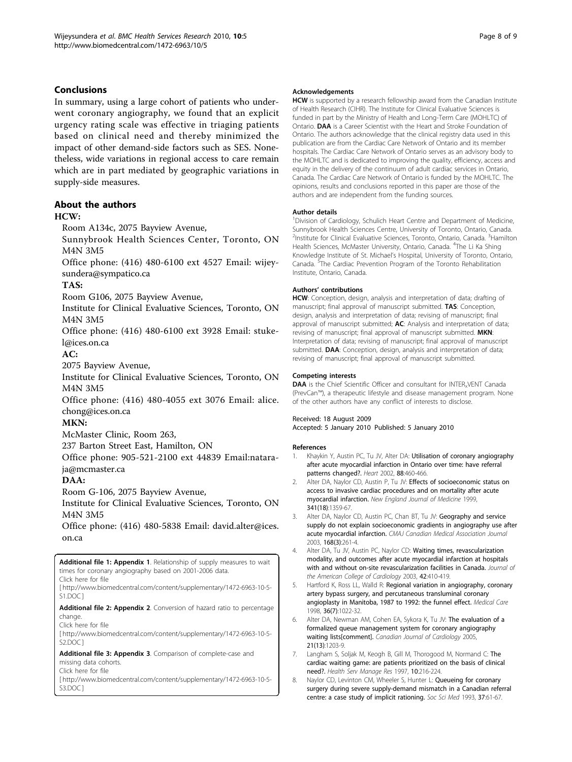# <span id="page-7-0"></span>Conclusions

In summary, using a large cohort of patients who underwent coronary angiography, we found that an explicit urgency rating scale was effective in triaging patients based on clinical need and thereby minimized the impact of other demand-side factors such as SES. Nonetheless, wide variations in regional access to care remain which are in part mediated by geographic variations in supply-side measures.

# About the authors

# HCW:

Room A134c, 2075 Bayview Avenue,

Sunnybrook Health Sciences Center, Toronto, ON M4N 3M5

Office phone: (416) 480-6100 ext 4527 Email: wijeysundera@sympatico.ca

TAS:

Room G106, 2075 Bayview Avenue,

Institute for Clinical Evaluative Sciences, Toronto, ON M4N 3M5

Office phone: (416) 480-6100 ext 3928 Email: stukel@ices.on.ca

 $AC:$ 

2075 Bayview Avenue,

Institute for Clinical Evaluative Sciences, Toronto, ON M4N 3M5

Office phone: (416) 480-4055 ext 3076 Email: alice. chong@ices.on.ca

# MKN:

McMaster Clinic, Room 263,

237 Barton Street East, Hamilton, ON

Office phone: 905-521-2100 ext 44839 Email:nataraja@mcmaster.ca

# DAA:

Room G-106, 2075 Bayview Avenue,

Institute for Clinical Evaluative Sciences, Toronto, ON M4N 3M5

Office phone: (416) 480-5838 Email: david.alter@ices. on.ca

Additional file 1: Appendix 1. Relationship of supply measures to wait times for coronary angiography based on 2001-2006 data. Click here for file

[ http://www.biomedcentral.com/content/supplementary/1472-6963-10-5- S1.DOC ]

Additional file 2: Appendix 2. Conversion of hazard ratio to percentage change.

Click here for file

[ http://www.biomedcentral.com/content/supplementary/1472-6963-10-5- S<sub>2</sub>.DOC<sub>1</sub>

Additional file 3: Appendix 3. Comparison of complete-case and missing data cohorts.

Click here for file

[ http://www.biomedcentral.com/content/supplementary/1472-6963-10-5- S3.DOC1

#### Acknowledgements

HCW is supported by a research fellowship award from the Canadian Institute of Health Research (CIHR). The Institute for Clinical Evaluative Sciences is funded in part by the Ministry of Health and Long-Term Care (MOHLTC) of Ontario. DAA is a Career Scientist with the Heart and Stroke Foundation of Ontario. The authors acknowledge that the clinical registry data used in this publication are from the Cardiac Care Network of Ontario and its member hospitals. The Cardiac Care Network of Ontario serves as an advisory body to the MOHLTC and is dedicated to improving the quality, efficiency, access and equity in the delivery of the continuum of adult cardiac services in Ontario, Canada. The Cardiac Care Network of Ontario is funded by the MOHLTC. The opinions, results and conclusions reported in this paper are those of the authors and are independent from the funding sources.

# Author details

<sup>1</sup> Division of Cardiology, Schulich Heart Centre and Department of Medicine Sunnybrook Health Sciences Centre, University of Toronto, Ontario, Canada. <sup>2</sup>Institute for Clinical Evaluative Sciences, Toronto, Ontario, Canada. <sup>3</sup>Hamilton Health Sciences, McMaster University, Ontario, Canada. <sup>4</sup>The Li Ka Shing Knowledge Institute of St. Michael's Hospital, University of Toronto, Ontario, Canada.<sup>5</sup>The Cardiac Prevention Program of the Toronto Rehabilitation Institute, Ontario, Canada.

# Authors' contributions

HCW: Conception, design, analysis and interpretation of data; drafting of manuscript; final approval of manuscript submitted. TAS: Conception, design, analysis and interpretation of data; revising of manuscript; final approval of manuscript submitted; AC: Analysis and interpretation of data; revising of manuscript; final approval of manuscript submitted. MKN: Interpretation of data; revising of manuscript; final approval of manuscript submitted. DAA: Conception, design, analysis and interpretation of data; revising of manuscript; final approval of manuscript submitted.

# Competing interests

DAA is the Chief Scientific Officer and consultant for INTER<sub>x</sub>VENT Canada (PrevCan™), a therapeutic lifestyle and disease management program. None of the other authors have any conflict of interests to disclose.

# Received: 18 August 2009

Accepted: 5 January 2010 Published: 5 January 2010

# References

- Khaykin Y, Austin PC, Tu JV, Alter DA: [Utilisation of coronary angiography](http://www.ncbi.nlm.nih.gov/pubmed/12381632?dopt=Abstract) [after acute myocardial infarction in Ontario over time: have referral](http://www.ncbi.nlm.nih.gov/pubmed/12381632?dopt=Abstract) [patterns changed?.](http://www.ncbi.nlm.nih.gov/pubmed/12381632?dopt=Abstract) Heart 2002, 88:460-466.
- 2. Alter DA, Naylor CD, Austin P, Tu JV: [Effects of socioeconomic status on](http://www.ncbi.nlm.nih.gov/pubmed/10536129?dopt=Abstract) [access to invasive cardiac procedures and on mortality after acute](http://www.ncbi.nlm.nih.gov/pubmed/10536129?dopt=Abstract) [myocardial infarction.](http://www.ncbi.nlm.nih.gov/pubmed/10536129?dopt=Abstract) New England Journal of Medicine 1999, 341(18):1359-67.
- 3. Alter DA, Naylor CD, Austin PC, Chan BT, Tu JV: Geography and service supply do not explain socioeconomic gradients in angiography use after acute myocardial infarction. CMAJ Canadian Medical Association Journal 2003, 168(3):261-4.
- 4. Alter DA, Tu JV, Austin PC, Naylor CD: [Waiting times, revascularization](http://www.ncbi.nlm.nih.gov/pubmed/12906964?dopt=Abstract) [modality, and outcomes after acute myocardial infarction at hospitals](http://www.ncbi.nlm.nih.gov/pubmed/12906964?dopt=Abstract) [with and without on-site revascularization facilities in Canada.](http://www.ncbi.nlm.nih.gov/pubmed/12906964?dopt=Abstract) Journal of the American College of Cardiology 2003, 42:410-419.
- 5. Hartford K, Ross LL, Walld R: [Regional variation in angiography, coronary](http://www.ncbi.nlm.nih.gov/pubmed/9674620?dopt=Abstract) [artery bypass surgery, and percutaneous transluminal coronary](http://www.ncbi.nlm.nih.gov/pubmed/9674620?dopt=Abstract) [angioplasty in Manitoba, 1987 to 1992: the funnel effect.](http://www.ncbi.nlm.nih.gov/pubmed/9674620?dopt=Abstract) Medical Care 1998, 36(7):1022-32.
- 6. Alter DA, Newman AM, Cohen EA, Sykora K, Tu JV: [The evaluation of a](http://www.ncbi.nlm.nih.gov/pubmed/16308597?dopt=Abstract) [formalized queue management system for coronary angiography](http://www.ncbi.nlm.nih.gov/pubmed/16308597?dopt=Abstract) [waiting lists\[comment\].](http://www.ncbi.nlm.nih.gov/pubmed/16308597?dopt=Abstract) Canadian Journal of Cardiology 2005, 21(13):1203-9.
- 7. Langham S, Soljak M, Keogh B, Gill M, Thorogood M, Normand C: [The](http://www.ncbi.nlm.nih.gov/pubmed/10174511?dopt=Abstract) [cardiac waiting game: are patients prioritized on the basis of clinical](http://www.ncbi.nlm.nih.gov/pubmed/10174511?dopt=Abstract) [need?.](http://www.ncbi.nlm.nih.gov/pubmed/10174511?dopt=Abstract) Health Serv Manage Res 1997, 10:216-224.
- 8. Naylor CD, Levinton CM, Wheeler S, Hunter L: [Queueing for coronary](http://www.ncbi.nlm.nih.gov/pubmed/8332926?dopt=Abstract) [surgery during severe supply-demand mismatch in a Canadian referral](http://www.ncbi.nlm.nih.gov/pubmed/8332926?dopt=Abstract) [centre: a case study of implicit rationing.](http://www.ncbi.nlm.nih.gov/pubmed/8332926?dopt=Abstract) Soc Sci Med 1993, 37:61-67.